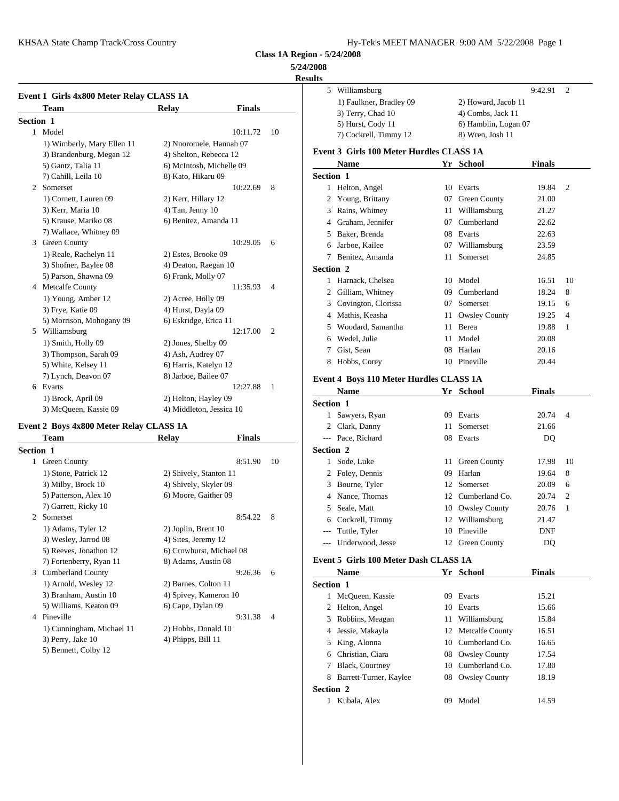KHSAA State Champ Track/Cross Country The Country Tek's MEET MANAGER 9:00 AM 5/22/2008 Page 1

**Class 1A Region - 5/24/2008**

**5/24/2008**

## **Event 1 Girls 4x800 Meter Relay CLASS 1A Team Relay Finals Section 1** 1 Model 10:11.72 10 1) Wimberly, Mary Ellen 11 2) Nnoromele, Hannah 07 3) Brandenburg, Megan 12 4) Shelton, Rebecca 12 5) Gantz, Talia 11 6) McIntosh, Michelle 09 7) Cahill, Leila 10 8) Kato, Hikaru 09 2 Somerset 10:22.69 8 1) Cornett, Lauren 09 2) Kerr, Hillary 12 3) Kerr, Maria 10 4) Tan, Jenny 10 5) Krause, Mariko 08 6) Benitez, Amanda 11 7) Wallace, Whitney 09 3 Green County 10:29.05 6 6 6 1) Reale, Rachelyn 11 2) Estes, Brooke 09 3) Shofner, Baylee 08 4) Deaton, Raegan 10 5) Parson, Shawna 09 6) Frank, Molly 07 4 Metcalfe County 11:35.93 4 1) Young, Amber 12 2) Acree, Holly 09 3) Frye, Katie 09 4) Hurst, Dayla 09 5) Morrison, Mohogany 09 6) Eskridge, Erica 11  $\frac{5}{2}$  Williamsburg 12:17.00 2  $\frac{5}{6}$ 1) Smith, Holly 09 2) Jones, Shelby 09 3) Thompson, Sarah 09 4) Ash, Audrey 07 5) White, Kelsey 11 6) Harris, Katelyn 12 7) Lynch, Deavon 07 8) Jarboe, Bailee 07 6 Evarts 12:27.88 1 Name 1) Brock, April 09 2) Helton, Hayley 09

# **Event 2 Boys 4x800 Meter Relay CLASS 1A**

3) McQueen, Kassie 09 4) Middleton, Jessica 10

|                  | Team                      | Relay                    | <b>Finals</b> |                | $---$        | Pace,      |
|------------------|---------------------------|--------------------------|---------------|----------------|--------------|------------|
| <b>Section 1</b> |                           |                          |               |                | Section 2    |            |
| $\mathbf{1}$     | Green County              |                          | 8:51.90       | 10             | $\mathbf{1}$ | Sode,      |
|                  | 1) Stone, Patrick 12      | 2) Shively, Stanton 11   |               |                | 2            | Foley      |
|                  | 3) Milby, Brock 10        | 4) Shively, Skyler 09    |               |                | 3            | Bourr      |
|                  | 5) Patterson, Alex 10     | 6) Moore, Gaither 09     |               |                | 4            | Nance      |
|                  | 7) Garrett, Ricky 10      |                          |               |                | 5            | Seale.     |
| 2                | Somerset                  |                          | 8:54.22       | 8              | 6            | Cocki      |
|                  | 1) Adams, Tyler 12        | 2) Joplin, Brent 10      |               |                |              | Tuttle     |
|                  | 3) Wesley, Jarrod 08      | 4) Sites, Jeremy 12      |               |                |              | Under      |
|                  | 5) Reeves, Jonathon 12    | 6) Crowhurst, Michael 08 |               |                |              |            |
|                  | 7) Fortenberry, Ryan 11   | 8) Adams, Austin 08      |               |                | Event 5 Gi   |            |
|                  | 3 Cumberland County       |                          | 9:26.36       | 6              |              | <b>Nam</b> |
|                  | 1) Arnold, Wesley 12      | 2) Barnes, Colton 11     |               |                | Section 1    |            |
|                  | 3) Branham, Austin 10     | 4) Spivey, Kameron 10    |               |                | 1            | McQu       |
|                  | 5) Williams, Keaton 09    | 6) Cape, Dylan 09        |               |                | 2            | Helto      |
| 4                | Pineville                 |                          | 9:31.38       | $\overline{4}$ | 3            | Robbi      |
|                  | 1) Cunningham, Michael 11 | 2) Hobbs, Donald 10      |               |                | 4            | Jessie     |
|                  | 3) Perry, Jake 10         | 4) Phipps, Bill 11       |               |                | 5            | King,      |
|                  | 5) Bennett, Colby 12      |                          |               |                | 6            | Christ     |
|                  |                           |                          |               |                |              |            |

**Results** 5 Williamsburg 9:42.91 2 1) Faulkner, Bradley 09 2) Howard, Jacob 11 3) Terry, Chad 10 4) Combs, Jack 11 5) Hurst, Cody 11 6) Hamblin, Logan 07 7) Cockrell, Timmy 12 8) Wren, Josh 11 **Event 3 Girls 100 Meter Hurdles CLASS 1A Name Yr School Finals Section 1** 1 Helton, Angel 10 Evarts 19.84 2 2 Young, Brittany 07 Green County 21.00 3 Rains, Whitney 11 Williamsburg 21.27 4 Graham, Jennifer 07 Cumberland 22.62 5 Baker, Brenda 08 Evarts 22.63 6 Jarboe, Kailee 07 Williamsburg 23.59 7 Benitez, Amanda 11 Somerset 24.85 **Section 2** 1 Harnack, Chelsea 10 Model 16.51 10 2 Gilliam, Whitney 09 Cumberland 18.24 8 3 Covington, Clorissa 07 Somerset 19.15 6 4 Mathis, Keasha 11 Owsley County 19.25 4 5 Woodard, Samantha 11 Berea 19.88 1 6 Wedel, Julie 11 Model 20.08 7 Gist, Sean 08 Harlan 20.16 8 Hobbs, Corey 10 Pineville 20.44 **Event 4 Boys 110 Meter Hurdles CLASS 1A Name Yr School Finals Section 1** 1 Sawyers, Ryan 09 Evarts 20.74 4 2 Clark, Danny 11 Somerset 21.66 Pace, Richard 08 Evarts DQ **Section 2** 1 Sode, Luke 11 Green County 17.98 10 2 Foley, Dennis 09 Harlan 19.64 8 3 Bourne, Tyler 12 Somerset 20.09 6 4 Nance, Thomas 12 Cumberland Co. 20.74 2 5 Seale, Matt 10 Owsley County 20.76 1 6 Cockrell, Timmy 12 Williamsburg 21.47 --- Tuttle, Tyler 10 Pineville DNF --- Underwood, Jesse 12 Green County DQ **Event 5 Girls 100 Meter Dash CLASS 1A Name Yr School Finals Section 1** 1 McQueen, Kassie 09 Evarts 15.21 2 Helton, Angel 10 Evarts 15.66 3 Robbins, Meagan 11 Williamsburg 15.84 4 Jessie, Makayla 12 Metcalfe County 16.51 5 King, Alonna 10 Cumberland Co. 16.65 6 Christian, Ciara 08 Owsley County 17.54 7 Black, Courtney 10 Cumberland Co. 17.80 8 Barrett-Turner, Kaylee 08 Owsley County 18.19 **Section 2** 1 Kubala, Alex 09 Model 14.59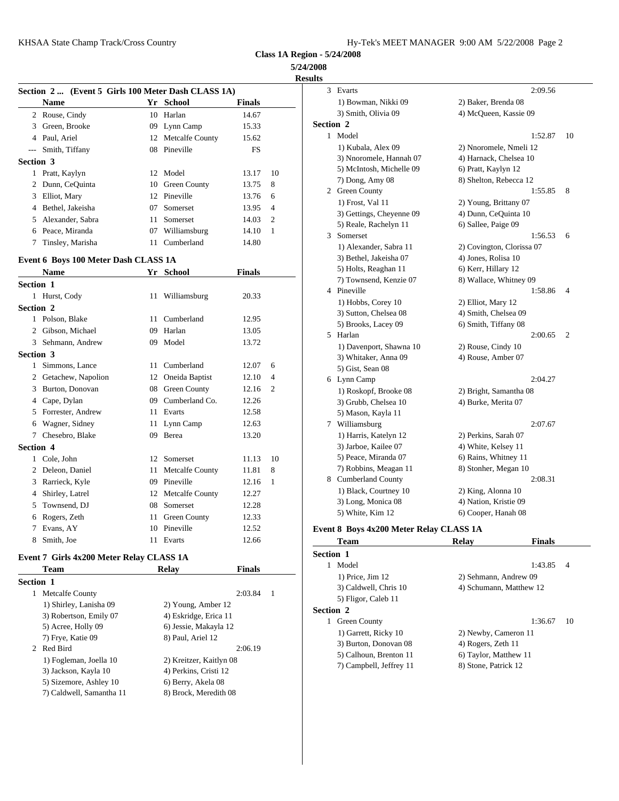**5/24/2008**

| Results |  |
|---------|--|

|                  |                                                    |    |                    |               |                | results                 |
|------------------|----------------------------------------------------|----|--------------------|---------------|----------------|-------------------------|
|                  | Section 2  (Event 5 Girls 100 Meter Dash CLASS 1A) |    |                    |               |                | $\mathcal{F}$<br>Evart: |
|                  | <b>Name</b>                                        |    | Yr School          | <b>Finals</b> |                | $1)$ Bo                 |
|                  | 2 Rouse, Cindy                                     |    | 10 Harlan          | 14.67         |                | $3)$ Sm                 |
| 3                | Green, Brooke                                      |    | 09 Lynn Camp       | 15.33         |                | <b>Section 2</b>        |
| 4                | Paul, Ariel                                        |    | 12 Metcalfe County | 15.62         |                | Mode                    |
|                  | --- Smith, Tiffany                                 |    | 08 Pineville       | FS.           |                | 1) Ku                   |
| <b>Section 3</b> |                                                    |    |                    |               |                | $3)$ Nn                 |
|                  | 1 Pratt, Kaylyn                                    |    | 12 Model           | 13.17         | 10             | 5) Mc                   |
| 2                | Dunn, CeQuinta                                     |    | 10 Green County    | 13.75         | 8              | $7)$ Do                 |
| 3                | Elliot, Mary                                       |    | 12 Pineville       | 13.76         | 6              | Green<br>2              |
| 4                | Bethel, Jakeisha                                   | 07 | Somerset           | 13.95         | $\overline{4}$ | $1)$ Fro                |
| 5.               | Alexander, Sabra                                   | 11 | Somerset           | 14.03         | $\overline{c}$ | $3)$ Ge                 |
| 6                | Peace, Miranda                                     | 07 | Williamsburg       | 14.10         | $\mathbf{1}$   | 5) Re<br>3<br>Some      |
|                  | 7 Tinsley, Marisha                                 | 11 | Cumberland         | 14.80         |                | $1)$ Al                 |
|                  | Event 6 Boys 100 Meter Dash CLASS 1A               |    |                    |               |                | $3)$ Be                 |
|                  |                                                    |    |                    |               |                | 5) Ho                   |
|                  | <b>Name</b>                                        | Yr | School             | <b>Finals</b> |                | $7)$ To                 |
| Section 1        |                                                    |    |                    |               |                |                         |

# **Section 1** 1 Hurst, Cody 11 Williamsburg 20.33 **Section 2** 1 Polson, Blake 11 Cumberland 12.95 2 Gibson, Michael 09 Harlan 13.05 3 Sehmann, Andrew 09 Model 13.72 **Section 3** 1 Simmons, Lance 11 Cumberland 12.07 6 2 Getachew, Napolion 12 Oneida Baptist 12.10 4 3 Burton, Donovan 08 Green County 12.16 2 4 Cape, Dylan 09 Cumberland Co. 12.26 5 Forrester, Andrew 11 Evarts 12.58 6 Wagner, Sidney 11 Lynn Camp 12.63 7 Chesebro, Blake 09 Berea 13.20 **Section 4** 1 Cole, John 12 Somerset 11.13 10 2 Deleon, Daniel 11 Metcalfe County 11.81 8 3 Rarrieck, Kyle 09 Pineville 12.16 1 4 Shirley, Latrel 12 Metcalfe County 12.27 5 Townsend, DJ 08 Somerset 12.28 6 Rogers, Zeth 11 Green County 12.33 7 Evans, AY 10 Pineville 12.52 8 Smith, Joe 11 Evarts 12.66

# **Event 7 Girls 4x200 Meter Relay CLASS 1A**

| Team                                                                                                                                                                                                                                      | Relay                                                                                                                                                                                        | <b>Finals</b>      |                | <b>INTOC</b>                                                                  |
|-------------------------------------------------------------------------------------------------------------------------------------------------------------------------------------------------------------------------------------------|----------------------------------------------------------------------------------------------------------------------------------------------------------------------------------------------|--------------------|----------------|-------------------------------------------------------------------------------|
| <b>Section 1</b>                                                                                                                                                                                                                          |                                                                                                                                                                                              |                    |                | 1)P                                                                           |
| Metcalfe County<br>1<br>1) Shirley, Lanisha 09<br>3) Robertson, Emily 07<br>5) Acree, Holly 09<br>7) Frye, Katie 09<br>2 Red Bird<br>1) Fogleman, Joella 10<br>3) Jackson, Kayla 10<br>5) Sizemore, Ashley 10<br>7) Caldwell, Samantha 11 | 2) Young, Amber 12<br>4) Eskridge, Erica 11<br>6) Jessie, Makayla 12<br>8) Paul, Ariel 12<br>2) Kreitzer, Kaitlyn 08<br>4) Perkins, Cristi 12<br>6) Berry, Akela 08<br>8) Brock, Meredith 08 | 2:03.84<br>2:06.19 | $\overline{1}$ | $3)$ C<br>$5)$ F<br>Section 2<br>Gree<br>$1)$ G<br>$3)$ B<br>$5)$ C<br>$7)$ C |
|                                                                                                                                                                                                                                           |                                                                                                                                                                                              |                    |                |                                                                               |

| πω               |                          |                           |    |
|------------------|--------------------------|---------------------------|----|
|                  | 3 Evarts                 | 2:09.56                   |    |
|                  | 1) Bowman, Nikki 09      | 2) Baker, Brenda 08       |    |
|                  | 3) Smith, Olivia 09      | 4) McQueen, Kassie 09     |    |
| <b>Section 2</b> |                          |                           |    |
|                  | 1 Model                  | 1:52.87                   | 10 |
|                  | 1) Kubala, Alex 09       | 2) Nnoromele, Nmeli 12    |    |
|                  | 3) Nnoromele, Hannah 07  | 4) Harnack, Chelsea 10    |    |
|                  | 5) McIntosh, Michelle 09 | 6) Pratt, Kaylyn 12       |    |
|                  | 7) Dong, Amy 08          | 8) Shelton, Rebecca 12    |    |
|                  | 2 Green County           | 1:55.85                   | 8  |
|                  | 1) Frost, Val 11         | 2) Young, Brittany 07     |    |
|                  | 3) Gettings, Cheyenne 09 | 4) Dunn, CeQuinta 10      |    |
|                  | 5) Reale, Rachelyn 11    | 6) Sallee, Paige 09       |    |
|                  | 3 Somerset               | 1:56.53                   | 6  |
|                  | 1) Alexander, Sabra 11   | 2) Covington, Clorissa 07 |    |
|                  | 3) Bethel, Jakeisha 07   | 4) Jones, Rolisa 10       |    |
|                  | 5) Holts, Reaghan 11     | 6) Kerr, Hillary 12       |    |
|                  | 7) Townsend, Kenzie 07   | 8) Wallace, Whitney 09    |    |
|                  | 4 Pineville              | 1:58.86                   | 4  |
|                  | 1) Hobbs, Corey 10       | 2) Elliot, Mary 12        |    |
|                  | 3) Sutton, Chelsea 08    | 4) Smith, Chelsea 09      |    |
|                  | 5) Brooks, Lacey 09      | 6) Smith, Tiffany 08      |    |
|                  | 5 Harlan                 | 2:00.65                   | 2  |
|                  | 1) Davenport, Shawna 10  | 2) Rouse, Cindy 10        |    |
|                  | 3) Whitaker, Anna 09     | 4) Rouse, Amber 07        |    |
|                  | 5) Gist, Sean 08         |                           |    |
|                  | 6 Lynn Camp              | 2:04.27                   |    |
|                  | 1) Roskopf, Brooke 08    | 2) Bright, Samantha 08    |    |
|                  | 3) Grubb, Chelsea 10     | 4) Burke, Merita 07       |    |
|                  | 5) Mason, Kayla 11       |                           |    |
|                  | 7 Williamsburg           | 2:07.67                   |    |
|                  | 1) Harris, Katelyn 12    | 2) Perkins, Sarah 07      |    |
|                  | 3) Jarboe, Kailee 07     | 4) White, Kelsey 11       |    |
|                  | 5) Peace, Miranda 07     | 6) Rains, Whitney 11      |    |
|                  | 7) Robbins, Meagan 11    | 8) Stonher, Megan 10      |    |
|                  | 8 Cumberland County      | 2:08.31                   |    |
|                  | 1) Black, Courtney 10    | 2) King, Alonna 10        |    |
|                  | 3) Long, Monica 08       | 4) Nation, Kristie 09     |    |
|                  | 5) White, Kim 12         | 6) Cooper, Hanah 08       |    |
|                  |                          |                           |    |

## **Event 8 Boys 4x200 Meter Relay CLASS 1A**

|                  | <b>Team</b>             | <b>Relay</b>            | <b>Finals</b> |                |
|------------------|-------------------------|-------------------------|---------------|----------------|
| <b>Section 1</b> |                         |                         |               |                |
| $\mathbf{I}$     | Model                   |                         | 1:43.85       | $\overline{4}$ |
|                  | $1)$ Price, Jim $12$    | 2) Sehmann, Andrew 09   |               |                |
|                  | 3) Caldwell, Chris 10   | 4) Schumann, Matthew 12 |               |                |
|                  | 5) Fligor, Caleb 11     |                         |               |                |
|                  | <b>Section 2</b>        |                         |               |                |
| 1                | Green County            |                         | 1:36.67       | 10             |
|                  | 1) Garrett, Ricky 10    | 2) Newby, Cameron 11    |               |                |
|                  | 3) Burton, Donovan 08   | 4) Rogers, Zeth 11      |               |                |
|                  | 5) Calhoun, Brenton 11  | 6) Taylor, Matthew 11   |               |                |
|                  | 7) Campbell, Jeffrey 11 | 8) Stone, Patrick 12    |               |                |
|                  |                         |                         |               |                |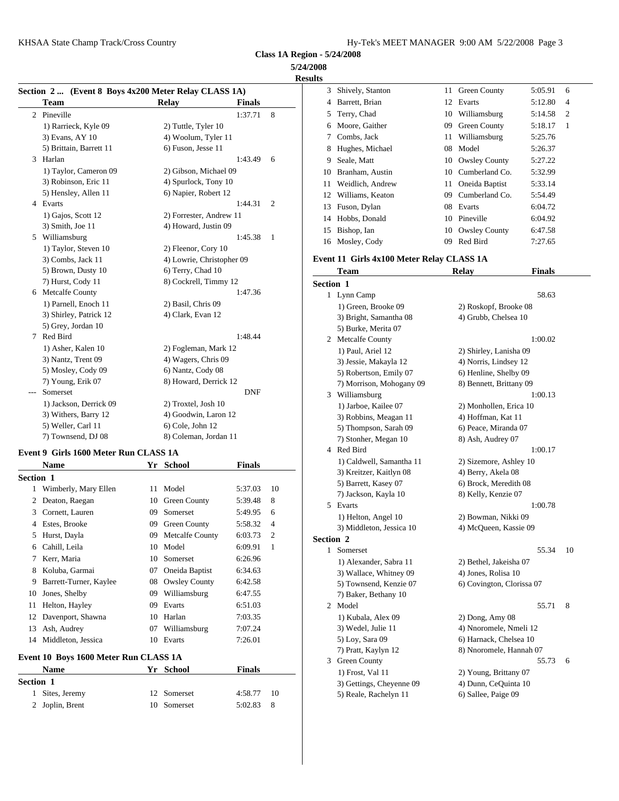**5/24/2008 Result** 

|  |  | $\mathbf{A} = \mathbf{A}$ (Figure 4.000 Metric Delay CI ACC 1.4) |  |  |
|--|--|------------------------------------------------------------------|--|--|

| Section 2  (Event 8 Boys 4x200 Meter Relay CLASS 1A) |                           |               |                | 3         | Shiv              |
|------------------------------------------------------|---------------------------|---------------|----------------|-----------|-------------------|
| <b>Team</b>                                          | <b>Relay</b>              | <b>Finals</b> |                | 4         | Barr              |
| 2 Pineville                                          |                           | 1:37.71       | 8              | 5         | Terr              |
| 1) Rarrieck, Kyle 09                                 | 2) Tuttle, Tyler 10       |               |                | 6         | Moc               |
| 3) Evans, AY 10                                      | 4) Woolum, Tyler 11       |               |                | 7         | Con               |
| 5) Brittain, Barrett 11                              | 6) Fuson, Jesse 11        |               |                | 8         | Hug               |
| 3 Harlan                                             |                           | 1:43.49       | 6              | 9         | Seal              |
| 1) Taylor, Cameron 09                                | 2) Gibson, Michael 09     |               |                | 10        | <b>Brar</b>       |
| 3) Robinson, Eric 11                                 | 4) Spurlock, Tony 10      |               |                | 11        | Wei               |
| 5) Hensley, Allen 11                                 | 6) Napier, Robert 12      |               |                | 12        | Will              |
| 4 Evarts                                             |                           | 1:44.31       | $\mathfrak{2}$ | 13        | Fusc              |
| 1) Gajos, Scott 12                                   | 2) Forrester, Andrew 11   |               |                | 14        | Hob               |
| 3) Smith, Joe 11                                     | 4) Howard, Justin 09      |               |                | 15        | <b>Bish</b>       |
| 5 Williamsburg                                       |                           | 1:45.38       | 1              | 16        | Mos               |
| 1) Taylor, Steven 10                                 | 2) Fleenor, Cory 10       |               |                |           |                   |
| 3) Combs, Jack 11                                    | 4) Lowrie, Christopher 09 |               |                | Event 11  |                   |
| 5) Brown, Dusty 10                                   | 6) Terry, Chad 10         |               |                |           | Tea               |
| 7) Hurst, Cody 11                                    | 8) Cockrell, Timmy 12     |               |                | Section 1 |                   |
| 6 Metcalfe County                                    |                           | 1:47.36       |                |           | 1 Lyn             |
| 1) Parnell, Enoch 11                                 | 2) Basil, Chris 09        |               |                |           | $1)$ G            |
| 3) Shirley, Patrick 12                               | 4) Clark, Evan 12         |               |                |           | $3)$ B            |
| 5) Grey, Jordan 10                                   |                           |               |                |           | 5) B              |
| 7 Red Bird                                           |                           | 1:48.44       |                | 2         | Meto              |
| 1) Asher, Kalen 10                                   | 2) Fogleman, Mark 12      |               |                |           | 1) P              |
| 3) Nantz, Trent 09                                   | 4) Wagers, Chris 09       |               |                |           | $3)$ Je           |
| 5) Mosley, Cody 09                                   | 6) Nantz, Cody 08         |               |                |           | 5) R              |
| 7) Young, Erik 07                                    | 8) Howard, Derrick 12     |               |                |           | 7) M              |
| Somerset                                             |                           | <b>DNF</b>    |                | 3         | Will              |
| 1) Jackson, Derrick 09                               | 2) Troxtel, Josh 10       |               |                |           | $1)$ Ja           |
| 3) Withers, Barry 12                                 | 4) Goodwin, Laron 12      |               |                |           | 3) R              |
| 5) Weller, Carl 11                                   | 6) Cole, John 12          |               |                |           | 5) T              |
| 7) Townsend, DJ 08                                   | 8) Coleman, Jordan 11     |               |                |           | 7) S <sub>1</sub> |

# **Event 9 Girls 1600 Meter Run CLASS 1A**

**Section 1**

|                  | <b>Name</b>                           | Yr | <b>School</b>          | <b>Finals</b> |                |                | 1) Ca            |
|------------------|---------------------------------------|----|------------------------|---------------|----------------|----------------|------------------|
| <b>Section 1</b> |                                       |    |                        |               |                |                | $3)$ Kr          |
|                  | Wimberly, Mary Ellen                  | 11 | Model                  | 5:37.03       | 10             |                | 5) Ba            |
| 2                | Deaton, Raegan                        | 10 | Green County           | 5:39.48       | 8              | 5              | 7) Jac<br>Evart: |
| 3                | Cornett, Lauren                       | 09 | Somerset               | 5:49.95       | 6              |                | $1)$ He          |
| 4                | Estes, Brooke                         | 09 | Green County           | 5:58.32       | $\overline{4}$ |                | 3) Mi            |
| 5                | Hurst, Dayla                          | 09 | <b>Metcalfe County</b> | 6:03.73       | $\overline{2}$ | Section 2      |                  |
| 6                | Cahill, Leila                         | 10 | Model                  | 6:09.91       | 1              | 1.             | Some             |
| 7                | Kerr, Maria                           | 10 | Somerset               | 6:26.96       |                |                | $1)$ Al          |
| 8                | Koluba, Garmai                        | 07 | Oneida Baptist         | 6:34.63       |                |                | $3)$ Wa          |
| 9                | Barrett-Turner, Kaylee                | 08 | <b>Owsley County</b>   | 6:42.58       |                |                | $5)$ To          |
| 10               | Jones, Shelby                         | 09 | Williamsburg           | 6:47.55       |                |                | 7) Bal           |
| 11               | Helton, Hayley                        | 09 | Evarts                 | 6:51.03       |                | $\mathfrak{D}$ | Mode             |
| 12               | Davenport, Shawna                     | 10 | Harlan                 | 7:03.35       |                |                | 1) Ku            |
| 13               | Ash, Audrey                           | 07 | Williamsburg           | 7:07.24       |                |                | $3)$ We          |
| 14               | Middleton, Jessica                    |    | 10 Evarts              | 7:26.01       |                |                | $5)$ Lo          |
|                  | Event 10 Boys 1600 Meter Run CLASS 1A |    |                        |               |                |                | 7) Pra           |
|                  |                                       |    |                        |               |                | $\mathcal{R}$  | Green            |
|                  | <b>Name</b>                           | Yr | <b>School</b>          | <b>Finals</b> |                |                | $1)$ Fro         |

1 Sites, Jeremy 12 Somerset 4:58.77 10 2 Joplin, Brent 10 Somerset 5:02.83 8

| ts |                  |    |                   |         |    |
|----|------------------|----|-------------------|---------|----|
| 3  | Shively, Stanton |    | 11 Green County   | 5:05.91 | 6  |
| 4  | Barrett, Brian   |    | 12 Evarts         | 5:12.80 | 4  |
| 5  | Terry, Chad      | 10 | Williamsburg      | 5:14.58 | 2  |
| 6  | Moore, Gaither   | 09 | Green County      | 5:18.17 | -1 |
| 7  | Combs, Jack      | 11 | Williamsburg      | 5:25.76 |    |
| 8  | Hughes, Michael  | 08 | Model             | 5:26.37 |    |
| 9  | Seale, Matt      |    | 10 Owsley County  | 5:27.22 |    |
| 10 | Branham, Austin  | 10 | Cumberland Co.    | 5:32.99 |    |
| 11 | Weidlich, Andrew |    | 11 Oneida Baptist | 5:33.14 |    |
| 12 | Williams, Keaton | 09 | Cumberland Co.    | 5:54.49 |    |
| 13 | Fuson, Dylan     | 08 | Evarts            | 6:04.72 |    |
| 14 | Hobbs, Donald    | 10 | Pineville         | 6:04.92 |    |
| 15 | Bishop, Ian      | 10 | Owsley County     | 6:47.58 |    |
|    | 16 Mosley, Cody  | 09 | Red Bird          | 7:27.65 |    |

# **Event 11 Girls 4x100 Meter Relay CLASS 1A**

|                  | <b>Team</b>              | <b>Relay</b>              | <b>Finals</b> |    |
|------------------|--------------------------|---------------------------|---------------|----|
| <b>Section 1</b> |                          |                           |               |    |
|                  | 1 Lynn Camp              |                           | 58.63         |    |
|                  | 1) Green, Brooke 09      | 2) Roskopf, Brooke 08     |               |    |
|                  | 3) Bright, Samantha 08   | 4) Grubb, Chelsea 10      |               |    |
|                  | 5) Burke, Merita 07      |                           |               |    |
|                  | 2 Metcalfe County        |                           | 1:00.02       |    |
|                  | 1) Paul, Ariel 12        | 2) Shirley, Lanisha 09    |               |    |
|                  | 3) Jessie, Makayla 12    | 4) Norris, Lindsey 12     |               |    |
|                  | 5) Robertson, Emily 07   | 6) Henline, Shelby 09     |               |    |
|                  | 7) Morrison, Mohogany 09 | 8) Bennett, Brittany 09   |               |    |
|                  | 3 Williamsburg           |                           | 1:00.13       |    |
|                  | 1) Jarboe, Kailee 07     | 2) Monhollen, Erica 10    |               |    |
|                  | 3) Robbins, Meagan 11    | 4) Hoffman, Kat 11        |               |    |
|                  | 5) Thompson, Sarah 09    | 6) Peace, Miranda 07      |               |    |
|                  | 7) Stonher, Megan 10     | 8) Ash, Audrey 07         |               |    |
|                  | 4 Red Bird               |                           | 1:00.17       |    |
|                  | 1) Caldwell, Samantha 11 | 2) Sizemore, Ashley 10    |               |    |
|                  | 3) Kreitzer, Kaitlyn 08  | 4) Berry, Akela 08        |               |    |
|                  | 5) Barrett, Kasey 07     | 6) Brock, Meredith 08     |               |    |
|                  | 7) Jackson, Kayla 10     | 8) Kelly, Kenzie 07       |               |    |
|                  | 5 Evarts                 |                           | 1:00.78       |    |
|                  | 1) Helton, Angel 10      | 2) Bowman, Nikki 09       |               |    |
|                  | 3) Middleton, Jessica 10 | 4) McQueen, Kassie 09     |               |    |
| <b>Section 2</b> |                          |                           |               |    |
|                  | 1 Somerset               |                           | 55.34         | 10 |
|                  | 1) Alexander, Sabra 11   | 2) Bethel, Jakeisha 07    |               |    |
|                  | 3) Wallace, Whitney 09   | 4) Jones, Rolisa 10       |               |    |
|                  | 5) Townsend, Kenzie 07   | 6) Covington, Clorissa 07 |               |    |
|                  | 7) Baker, Bethany 10     |                           |               |    |
|                  | 2 Model                  |                           | 55.71         | 8  |
|                  | 1) Kubala, Alex 09       | 2) Dong, Amy 08           |               |    |
|                  | 3) Wedel, Julie 11       | 4) Nnoromele, Nmeli 12    |               |    |
|                  | 5) Loy, Sara 09          | 6) Harnack, Chelsea 10    |               |    |
|                  | 7) Pratt, Kaylyn 12      | 8) Nnoromele, Hannah 07   |               |    |
|                  | 3 Green County           |                           | 55.73         | 6  |
|                  | 1) Frost, Val 11         | 2) Young, Brittany 07     |               |    |
|                  | 3) Gettings, Cheyenne 09 | 4) Dunn, CeQuinta 10      |               |    |
|                  | 5) Reale, Rachelyn 11    | 6) Sallee, Paige 09       |               |    |
|                  |                          |                           |               |    |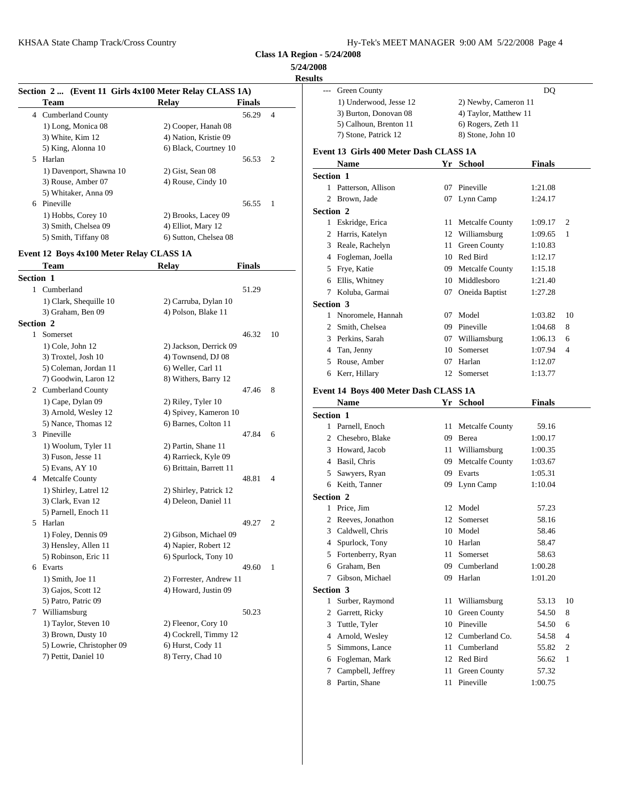|                  |                                                       |                       |               |                | 5/24/2008      |
|------------------|-------------------------------------------------------|-----------------------|---------------|----------------|----------------|
|                  |                                                       |                       |               |                | <b>Results</b> |
|                  | Section 2 (Event 11 Girls 4x100 Meter Relay CLASS 1A) |                       |               | Gree           |                |
|                  | Team                                                  | Relay                 | <b>Finals</b> |                | $1)$ U         |
| 4                | <b>Cumberland County</b>                              |                       | 56.29         | $\overline{4}$ | $3)$ B         |
|                  | 1) Long, Monica 08                                    | 2) Cooper, Hanah 08   |               |                | 5) C           |
|                  | 3) White, Kim 12                                      | 4) Nation, Kristie 09 |               |                | 7) St          |
|                  | 5) King, Alonna 10                                    | 6) Black, Courtney 10 |               |                | Event 13       |
| 5                | Harlan                                                |                       | 56.53         | $\overline{c}$ | Nan            |
|                  | 1) Davenport, Shawna 10                               | 2) Gist, Sean 08      |               |                | Section 1      |
|                  | 3) Rouse, Amber 07                                    | 4) Rouse, Cindy 10    |               |                | Patte          |
|                  | 5) Whitaker, Anna 09                                  |                       |               |                |                |
| 6                | Pineville                                             |                       | 56.55         | -1             | <b>Broy</b>    |
|                  | 1) Hobbs, Corey 10                                    | 2) Brooks, Lacey 09   |               |                | Section 2      |
|                  | 3) Smith, Chelsea 09                                  | 4) Elliot, Mary 12    |               |                | Eskr           |
|                  | 5) Smith, Tiffany 08                                  | 6) Sutton, Chelsea 08 |               |                | Harr           |
|                  |                                                       |                       |               |                | Real<br>3      |
|                  | Event 12 Boys 4x100 Meter Relay CLASS 1A              |                       |               |                | Fogl<br>4      |
|                  | Team                                                  | <b>Relay</b>          | <b>Finals</b> |                | Frye           |
| <b>Section 1</b> |                                                       |                       |               |                | Ellis          |
| $\mathbf{1}$     | Cumberland                                            |                       | 51.29         |                | Koli           |

| 1            | Cumberland                |                         | 51.29 |                | 7              | Kolub      |
|--------------|---------------------------|-------------------------|-------|----------------|----------------|------------|
|              | 1) Clark, Shequille 10    | 2) Carruba, Dylan 10    |       |                | Section 3      |            |
|              | 3) Graham, Ben 09         | 4) Polson, Blake 11     |       |                | $\mathbf{1}$   | Nnoro      |
| Section 2    |                           |                         |       |                | 2              | Smith      |
| $\mathbf{1}$ | Somerset                  |                         | 46.32 | 10             | 3              | Perki      |
|              | 1) Cole, John 12          | 2) Jackson, Derrick 09  |       |                | 4              | Tan, J     |
|              | 3) Troxtel, Josh 10       | 4) Townsend, DJ 08      |       |                | 5              | Rouse      |
|              | 5) Coleman, Jordan 11     | 6) Weller, Carl 11      |       |                |                | Kerr,      |
|              | 7) Goodwin, Laron 12      | 8) Withers, Barry 12    |       |                | 6              |            |
|              | 2 Cumberland County       |                         | 47.46 | 8              | Event 14 B     |            |
|              | 1) Cape, Dylan 09         | 2) Riley, Tyler 10      |       |                |                | <b>Nam</b> |
|              | 3) Arnold, Wesley 12      | 4) Spivey, Kameron 10   |       |                | Section 1      |            |
|              | 5) Nance, Thomas 12       | 6) Barnes, Colton 11    |       |                |                | 1 Parne    |
| 3            | Pineville                 |                         | 47.84 | 6              | $\overline{2}$ | Chese      |
|              | 1) Woolum, Tyler 11       | 2) Partin, Shane 11     |       |                | 3              | Howa       |
|              | 3) Fuson, Jesse 11        | 4) Rarrieck, Kyle 09    |       |                | 4              | Basil.     |
|              | 5) Evans, AY 10           | 6) Brittain, Barrett 11 |       |                | 5              | Sawy       |
|              | 4 Metcalfe County         |                         | 48.81 | $\overline{4}$ | 6              | Keith      |
|              | 1) Shirley, Latrel 12     | 2) Shirley, Patrick 12  |       |                |                |            |
|              | 3) Clark, Evan 12         | 4) Deleon, Daniel 11    |       |                | Section 2      |            |
|              | 5) Parnell, Enoch 11      |                         |       |                |                | 1 Price,   |
| 5.           | Harlan                    |                         | 49.27 | $\overline{2}$ | 2              | Reeve      |
|              | 1) Foley, Dennis 09       | 2) Gibson, Michael 09   |       |                | 3              | Caldv      |
|              | 3) Hensley, Allen 11      | 4) Napier, Robert 12    |       |                | 4              | Spurk      |
|              | 5) Robinson, Eric 11      | 6) Spurlock, Tony 10    |       |                | 5              | Forter     |
|              | 6 Evarts                  |                         | 49.60 | 1              | 6              | Graha      |
|              | 1) Smith, Joe 11          | 2) Forrester, Andrew 11 |       |                | 7              | Gibso      |
|              | 3) Gajos, Scott 12        | 4) Howard, Justin 09    |       |                | Section 3      |            |
|              | 5) Patro, Patric 09       |                         |       |                | 1              | Surbe      |
| 7            | Williamsburg              |                         | 50.23 |                | 2              | Garre      |
|              | 1) Taylor, Steven 10      | 2) Fleenor, Cory 10     |       |                | 3              | Tuttle     |
|              | 3) Brown, Dusty 10        | 4) Cockrell, Timmy 12   |       |                | 4              | Arnol      |
|              | 5) Lowrie, Christopher 09 | 6) Hurst, Cody 11       |       |                | 5              | Simm       |
|              | 7) Pettit, Daniel 10      | 8) Terry, Chad 10       |       |                | 6              | Fogle      |
|              |                           |                         |       |                |                |            |

| vvo              |                                        |    |                       |               |              |
|------------------|----------------------------------------|----|-----------------------|---------------|--------------|
| lts              |                                        |    |                       |               |              |
| $---$            | Green County                           |    |                       | DQ            |              |
|                  | 1) Underwood, Jesse 12                 |    | 2) Newby, Cameron 11  |               |              |
|                  | 3) Burton, Donovan 08                  |    | 4) Taylor, Matthew 11 |               |              |
|                  | 5) Calhoun, Brenton 11                 |    | 6) Rogers, Zeth 11    |               |              |
|                  | 7) Stone, Patrick 12                   |    | 8) Stone, John 10     |               |              |
|                  | Event 13 Girls 400 Meter Dash CLASS 1A |    |                       |               |              |
|                  | <b>Name</b>                            |    | Yr School             | <b>Finals</b> |              |
| <b>Section 1</b> |                                        |    |                       |               |              |
|                  | 1 Patterson, Allison                   |    | 07 Pineville          | 1:21.08       |              |
|                  | 2 Brown, Jade                          |    | 07 Lynn Camp          | 1:24.17       |              |
| <b>Section 2</b> |                                        |    |                       |               |              |
|                  | 1 Eskridge, Erica                      |    | 11 Metcalfe County    | 1:09.17       | 2            |
|                  | 2 Harris, Katelyn                      |    | 12 Williamsburg       | 1:09.65       | 1            |
|                  | 3 Reale, Rachelyn                      |    | 11 Green County       | 1:10.83       |              |
|                  | 4 Fogleman, Joella                     |    | 10 Red Bird           | 1:12.17       |              |
|                  | 5 Frye, Katie                          |    | 09 Metcalfe County    | 1:15.18       |              |
|                  | 6 Ellis, Whitney                       |    | 10 Middlesboro        | 1:21.40       |              |
|                  | 7 Koluba, Garmai                       |    | 07 Oneida Baptist     | 1:27.28       |              |
| <b>Section 3</b> |                                        |    |                       |               |              |
|                  | 1 Nnoromele, Hannah                    |    | 07 Model              | 1:03.82       | 10           |
|                  | 2 Smith, Chelsea                       |    | 09 Pineville          | 1:04.68       | 8            |
|                  | 3 Perkins, Sarah                       |    | 07 Williamsburg       | 1:06.13       | 6            |
|                  | 4 Tan, Jenny                           |    | 10 Somerset           | 1:07.94       | 4            |
|                  | 5 Rouse, Amber                         |    | 07 Harlan             | 1:12.07       |              |
|                  | 6 Kerr, Hillary                        | 12 | Somerset              | 1:13.77       |              |
|                  |                                        |    |                       |               |              |
|                  | Event 14 Boys 400 Meter Dash CLASS 1A  |    |                       |               |              |
|                  | Name                                   |    | Yr School             | <b>Finals</b> |              |
| <b>Section 1</b> |                                        |    |                       |               |              |
|                  | 1 Parnell, Enoch                       |    | 11 Metcalfe County    | 59.16         |              |
|                  | 2 Chesebro, Blake                      |    | 09 Berea              | 1:00.17       |              |
|                  | 3 Howard, Jacob                        |    | 11 Williamsburg       | 1:00.35       |              |
|                  | 4 Basil, Chris                         |    | 09 Metcalfe County    | 1:03.67       |              |
|                  | 5 Sawyers, Ryan                        |    | 09 Evarts             | 1:05.31       |              |
|                  | 6 Keith, Tanner                        |    | 09 Lynn Camp          | 1:10.04       |              |
| <b>Section 2</b> |                                        |    |                       |               |              |
|                  | 1 Price, Jim                           |    | 12 Model              | 57.23         |              |
|                  | 2 Reeves, Jonathon                     |    | 12 Somerset           | 58.16         |              |
| 3                | Caldwell, Chris                        |    | 10 Model              | 58.46         |              |
| 4                | Spurlock, Tony                         | 10 | Harlan                | 58.47         |              |
| 5.               | Fortenberry, Ryan                      | 11 | Somerset              | 58.63         |              |
| 6                | Graham, Ben                            | 09 | Cumberland            | 1:00.28       |              |
| 7                | Gibson, Michael                        | 09 | Harlan                | 1:01.20       |              |
| Section 3        |                                        |    |                       |               |              |
| $\mathbf{1}$     | Surber, Raymond                        | 11 | Williamsburg          | 53.13         | 10           |
| 2                | Garrett, Ricky                         | 10 | Green County          | 54.50         | 8            |
| 3                | Tuttle, Tyler                          | 10 | Pineville             | 54.50         | 6            |
| 4                | Arnold, Wesley                         | 12 | Cumberland Co.        | 54.58         | 4            |
| 5                | Simmons, Lance                         | 11 | Cumberland            | 55.82         | 2            |
| 6                | Fogleman, Mark                         |    | 12 Red Bird           | 56.62         | $\mathbf{1}$ |
| 7                | Campbell, Jeffrey                      | 11 | Green County          | 57.32         |              |
|                  | 8 Partin, Shane                        |    | 11 Pineville          | 1:00.75       |              |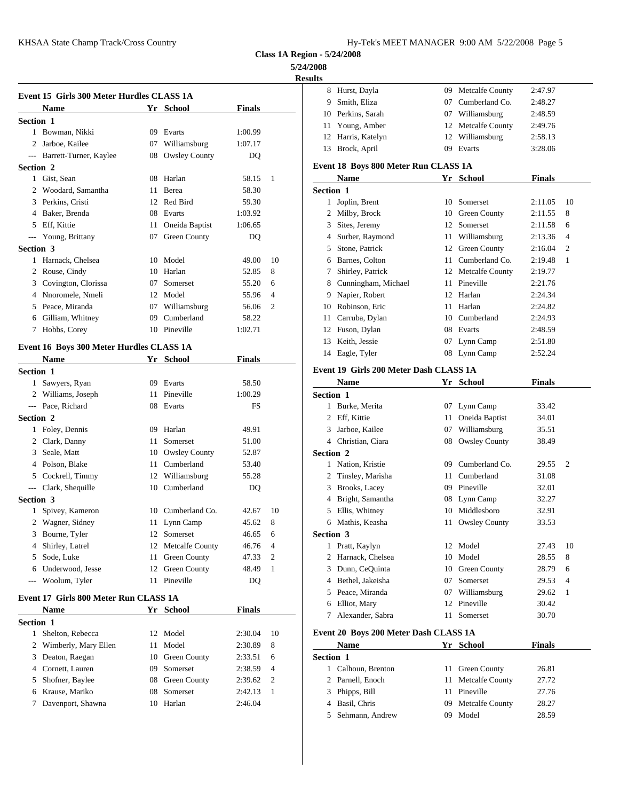**5/24/2008**

| sn |
|----|
|    |

|                  |                                           |    |                    |                    |        | results          |                              |
|------------------|-------------------------------------------|----|--------------------|--------------------|--------|------------------|------------------------------|
|                  | Event 15 Girls 300 Meter Hurdles CLASS 1A |    |                    |                    |        |                  | 8 Hurst, Day                 |
|                  | Name                                      |    | Yr School          | <b>Finals</b>      |        | 9                | Smith, Eliz                  |
|                  |                                           |    |                    |                    |        | 10               | Perkins, Sa                  |
| <b>Section 1</b> | 1 Bowman, Nikki                           |    | 09 Evarts          | 1:00.99            |        | 11               | Young, Ar                    |
|                  | 2 Jarboe, Kailee                          |    | 07 Williamsburg    | 1:07.17            |        | 12               | Harris, Ka                   |
|                  | --- Barrett-Turner, Kaylee                |    | 08 Owsley County   | DQ                 |        |                  | 13 Brock, Ap:                |
| Section 2        |                                           |    |                    |                    |        |                  | <b>Event 18 Boys</b>         |
|                  | 1 Gist, Sean                              |    | 08 Harlan          | 58.15              | 1      |                  | <b>Name</b>                  |
|                  | 2 Woodard, Samantha                       |    | 11 Berea           | 58.30              |        | <b>Section 1</b> |                              |
|                  | 3 Perkins, Cristi                         |    | 12 Red Bird        | 59.30              |        |                  | 1 Joplin, Bre                |
|                  | 4 Baker, Brenda                           |    | 08 Evarts          | 1:03.92            |        |                  | 2 Milby, Bro                 |
|                  | 5 Eff, Kittie                             |    | 11 Oneida Baptist  | 1:06.65            |        |                  | 3 Sites, Jeren               |
|                  | --- Young, Brittany                       |    | 07 Green County    | DQ                 |        |                  | 4 Surber, Ra                 |
| Section 3        |                                           |    |                    |                    |        |                  | 5 Stone, Pati                |
|                  | 1 Harnack, Chelsea                        |    | 10 Model           | 49.00              | 10     |                  | 6 Barnes, Co                 |
|                  | 2 Rouse, Cindy                            |    | 10 Harlan          | 52.85              | 8      | 7                | Shirley, Pa                  |
|                  | 3 Covington, Clorissa                     |    | 07 Somerset        | 55.20              | 6      |                  | 8 Cunningha                  |
|                  | 4 Nnoromele, Nmeli                        |    | 12 Model           | 55.96              | 4      |                  | Napier, Ro                   |
|                  | 5 Peace, Miranda                          |    | 07 Williamsburg    | 56.06              | 2      | 10               | Robinson,                    |
|                  | 6 Gilliam, Whitney                        |    | 09 Cumberland      | 58.22              |        | 11               | Carruba, D                   |
|                  | 7 Hobbs, Corey                            |    | 10 Pineville       | 1:02.71            |        |                  | 12 Fuson, Dy                 |
|                  |                                           |    |                    |                    |        |                  | 13 Keith, Jess               |
|                  | Event 16 Boys 300 Meter Hurdles CLASS 1A  |    |                    |                    |        |                  | 14 Eagle, Tyle               |
|                  | <b>Name</b>                               |    | Yr School          | <b>Finals</b>      |        |                  |                              |
| <b>Section 1</b> |                                           |    |                    |                    |        |                  | <b>Event 19 Girls</b>        |
|                  | 1 Sawyers, Ryan                           |    | 09 Evarts          | 58.50              |        |                  | <b>Name</b>                  |
|                  | 2 Williams, Joseph                        |    | 11 Pineville       | 1:00.29            |        | Section 1        |                              |
|                  | --- Pace, Richard                         |    | 08 Evarts          | FS                 |        |                  | 1 Burke, Me                  |
| Section 2        | 1 Foley, Dennis                           |    | 09 Harlan          | 49.91              |        | 3                | 2 Eff, Kittie<br>Jarboe, Ka  |
|                  | 2 Clark, Danny                            |    | 11 Somerset        | 51.00              |        |                  | 4 Christian,                 |
|                  | 3 Seale, Matt                             |    | 10 Owsley County   | 52.87              |        | Section 2        |                              |
|                  | 4 Polson, Blake                           |    | 11 Cumberland      | 53.40              |        |                  | 1 Nation, Kr                 |
|                  | 5 Cockrell, Timmy                         |    | 12 Williamsburg    | 55.28              |        |                  | 2 Tinsley, M                 |
|                  | --- Clark, Shequille                      |    | 10 Cumberland      | DQ                 |        | 3                | Brooks, La                   |
| Section 3        |                                           |    |                    |                    |        |                  | 4 Bright, Sai                |
|                  | 1 Spivey, Kameron                         |    | 10 Cumberland Co.  | 42.67              | 10     |                  | 5 Ellis, Whit                |
|                  | 2 Wagner, Sidney                          |    | 11 Lynn Camp       | 45.62              | 8      |                  | 6 Mathis, Ke                 |
|                  | 3 Bourne, Tyler                           |    | 12 Somerset        | 46.65              | 6      |                  | Section 3                    |
|                  | 4 Shirley, Latrel                         |    | 12 Metcalfe County | 46.76              | 4      |                  | 1 Pratt, Kayl                |
| 5                | Sode, Luke                                |    | 11 Green County    | 47.33              | 2      | $\overline{2}$   | Harnack, O                   |
|                  | 6 Underwood, Jesse                        |    | 12 Green County    | 48.49              | 1      | 3                | Dunn, CeQ                    |
|                  | --- Woolum, Tyler                         |    | 11 Pineville       | DQ                 |        |                  | 4 Bethel, Jak                |
|                  |                                           |    |                    |                    |        | 5.               | Peace, Mir                   |
|                  | Event 17 Girls 800 Meter Run CLASS 1A     |    |                    |                    |        | 6                | Elliot, Mar                  |
|                  | Name                                      |    | Yr School          | <b>Finals</b>      |        | 7                | Alexander.                   |
| Section 1        |                                           |    |                    |                    |        |                  |                              |
| 1                | Shelton, Rebecca                          |    | 12 Model<br>Model  | 2:30.04            | 10     |                  | <b>Event 20 Boys</b><br>Name |
|                  | 2 Wimberly, Mary Ellen                    | 11 | 10 Green County    | 2:30.89            | 8      |                  |                              |
|                  | 3 Deaton, Raegan<br>4 Cornett, Lauren     |    | 09 Somerset        | 2:33.51<br>2:38.59 | 6<br>4 | Section 1        | 1 Calhoun, E                 |
|                  | 5 Shofner, Baylee                         |    | 08 Green County    | 2:39.62            | 2      |                  | 2 Parnell, Er                |
|                  | 6 Krause, Mariko                          |    | 08 Somerset        | 2:42.13            | 1      |                  | 3 Phipps, Bi                 |
| 7                | Davenport, Shawna                         |    | 10 Harlan          | 2:46.04            |        |                  | 4 Basil, Chri                |
|                  |                                           |    |                    |                    |        | 5                | Sehmann,                     |
|                  |                                           |    |                    |                    |        |                  |                              |

| <b>Results</b>   |                                        |    |                        |               |                |
|------------------|----------------------------------------|----|------------------------|---------------|----------------|
|                  | 8 Hurst, Dayla                         |    | 09 Metcalfe County     | 2:47.97       |                |
| 9                | Smith, Eliza                           |    | 07 Cumberland Co.      | 2:48.27       |                |
|                  | 10 Perkins, Sarah                      |    | 07 Williamsburg        | 2:48.59       |                |
|                  | 11 Young, Amber                        |    | 12 Metcalfe County     | 2:49.76       |                |
|                  | 12 Harris, Katelyn                     |    | 12 Williamsburg        | 2:58.13       |                |
|                  | 13 Brock, April                        |    | 09 Evarts              | 3:28.06       |                |
|                  | Event 18 Boys 800 Meter Run CLASS 1A   |    |                        |               |                |
|                  | Name                                   |    | Yr School              | <b>Finals</b> |                |
| Section 1        |                                        |    |                        |               |                |
|                  | 1 Joplin, Brent                        |    | 10 Somerset            | 2:11.05       | 10             |
|                  | 2 Milby, Brock                         |    | 10 Green County        | 2:11.55       | 8              |
|                  | 3 Sites, Jeremy                        |    | 12 Somerset            | 2:11.58       | 6              |
|                  | 4 Surber, Raymond                      |    | 11 Williamsburg        | 2:13.36       | $\overline{4}$ |
|                  | 5 Stone, Patrick                       |    | 12 Green County        | 2:16.04       | 2              |
|                  | 6 Barnes, Colton                       |    | 11 Cumberland Co.      | 2:19.48       | 1              |
| 7                | Shirley, Patrick                       |    | 12 Metcalfe County     | 2:19.77       |                |
|                  | 8 Cunningham, Michael                  |    | 11 Pineville           | 2:21.76       |                |
|                  | 9 Napier, Robert                       |    | 12 Harlan              | 2:24.34       |                |
|                  | 10 Robinson, Eric                      |    | 11 Harlan              | 2:24.82       |                |
|                  | 11 Carruba, Dylan                      |    | 10 Cumberland          | 2:24.93       |                |
|                  | 12 Fuson, Dylan                        |    | 08 Evarts              | 2:48.59       |                |
|                  | 13 Keith, Jessie                       |    | 07 Lynn Camp           | 2:51.80       |                |
|                  | 14 Eagle, Tyler                        |    | 08 Lynn Camp           | 2:52.24       |                |
|                  | Event 19 Girls 200 Meter Dash CLASS 1A |    |                        |               |                |
|                  | <b>Name</b>                            |    | Yr School              | <b>Finals</b> |                |
| Section 1        |                                        |    |                        |               |                |
|                  | 1 Burke, Merita                        |    | 07 Lynn Camp           | 33.42         |                |
|                  | 2 Eff, Kittie                          |    | 11 Oneida Baptist      | 34.01         |                |
|                  | 3 Jarboe, Kailee                       |    | 07 Williamsburg        | 35.51         |                |
|                  | 4 Christian, Ciara                     |    | 08 Owsley County       | 38.49         |                |
| <b>Section 2</b> |                                        |    |                        |               |                |
|                  | 1 Nation, Kristie                      |    | 09 Cumberland Co.      | 29.55         | 2              |
|                  | 2 Tinsley, Marisha                     |    | 11 Cumberland          | 31.08         |                |
|                  | 3 Brooks, Lacey                        |    | 09 Pineville           | 32.01         |                |
|                  | 4 Bright, Samantha                     |    | 08 Lynn Camp           | 32.27         |                |
|                  | 5 Ellis, Whitney                       |    | 10 Middlesboro         | 32.91         |                |
|                  | 6 Mathis, Keasha                       |    | 11 Owsley County       | 33.53         |                |
| Section 3        |                                        |    |                        |               |                |
|                  | 1 Pratt, Kaylyn                        |    | 12 Model               | 27.43         | 10             |
|                  | 2 Harnack, Chelsea                     |    | 10 Model               | 28.55         | 8              |
|                  | 3 Dunn, CeQuinta                       |    | 10 Green County        | 28.79         | 6              |
|                  | 4 Bethel, Jakeisha                     |    | 07 Somerset            | 29.53         | $\overline{4}$ |
|                  | 5 Peace, Miranda                       |    | 07 Williamsburg        | 29.62         | 1              |
|                  | 6 Elliot, Mary                         |    | 12 Pineville           | 30.42         |                |
| 7                | Alexander, Sabra                       |    | 11 Somerset            | 30.70         |                |
|                  | Event 20 Boys 200 Meter Dash CLASS 1A  |    |                        |               |                |
|                  | Name                                   |    | Yr School              | <b>Finals</b> |                |
| Section 1        |                                        |    |                        |               |                |
|                  | 1 Calhoun, Brenton                     |    | 11 Green County        | 26.81         |                |
|                  | 2 Parnell, Enoch                       | 11 | <b>Metcalfe County</b> | 27.72         |                |
|                  | 3 Phipps, Bill                         |    | 11 Pineville           | 27.76         |                |
|                  | 4 Basil, Chris                         | 09 | Metcalfe County        | 28.27         |                |
|                  | 5 Sehmann, Andrew                      |    | 09 Model               | 28.59         |                |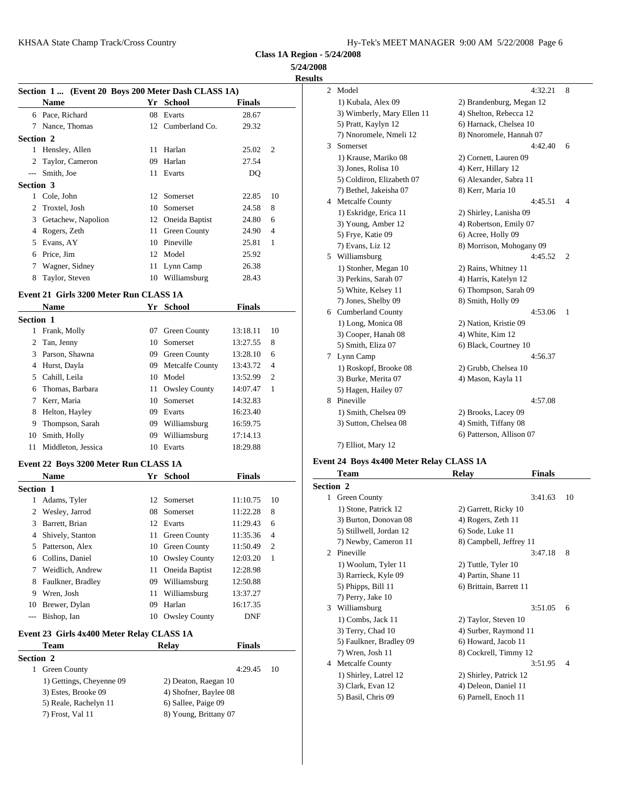**5/24/2008 Results**

**Section 1 ... (Event 20 Boys 200 Meter Dash CLASS 1A) Name Yr School Finals** 6 Pace, Richard 08 Evarts 28.67 7 Nance, Thomas 12 Cumberland Co. 29.32 **Section 2** 1 Hensley, Allen 11 Harlan 25.02 2 2 Taylor, Cameron 09 Harlan 27.54 --- Smith, Joe 11 Evarts DQ **Section 3** 1 Cole, John 12 Somerset 22.85 10 2 Troxtel, Josh 10 Somerset 24.58 8 3 Getachew, Napolion 12 Oneida Baptist 24.80 6 4 Rogers, Zeth 11 Green County 24.90 4 5 Evans, AY 10 Pineville 25.81 1 6 Price, Jim 12 Model 25.92 7 Wagner, Sidney 11 Lynn Camp 26.38 8 Taylor, Steven 10 Williamsburg 28.43 **Event 21 Girls 3200 Meter Run CLASS 1A Name Yr School Finals Section 1** 1 Frank, Molly 07 Green County 13:18.11 10 2 Tan, Jenny 10 Somerset 13:27.55 8 3 Parson, Shawna 09 Green County 13:28.10 6 4 Hurst, Dayla 09 Metcalfe County 13:43.72 4 5 Cahill, Leila 10 Model 13:52.99 2 (3) B

| $\sim$ 1 and 0.11, 1.11, 1.11, 1.11 |     | $\sigma$ $\sigma$ $\sigma$ $\sigma$ | 10.40110 |    | L Y N               |
|-------------------------------------|-----|-------------------------------------|----------|----|---------------------|
| 4 Hurst, Dayla                      |     | 09 Metcalfe County                  | 13:43.72 | -4 | 1) R                |
| 5 Cahill, Leila                     |     | 10 Model                            | 13:52.99 | 2  | $3)$ B              |
| 6 Thomas, Barbara                   |     | 11 Owsley County                    | 14:07.47 |    | $5$ ) H             |
| 7 Kerr, Maria                       |     | 10 Somerset                         | 14:32.83 |    | 8 Pine              |
| 8 Helton, Hayley                    |     | 09 Evarts                           | 16:23.40 |    | $1)$ S              |
| 9 Thompson, Sarah                   | 09  | Williamsburg                        | 16:59.75 |    | $3)$ S <sub>1</sub> |
| 10 Smith, Holly                     | 09. | Williamsburg                        | 17:14.13 |    |                     |
| 11 Middleton, Jessica               |     | 10 Evarts                           | 18:29.88 |    | 7) E                |

### **Event 22 Boys 3200 Meter Run CLASS 1A**

|                  | <b>Name</b>                               |    | Yr School             | <b>Finals</b> |                |           | Tean            |
|------------------|-------------------------------------------|----|-----------------------|---------------|----------------|-----------|-----------------|
| <b>Section 1</b> |                                           |    |                       |               |                | Section 2 |                 |
| 1                | Adams, Tyler                              |    | 12 Somerset           | 11:10.75      | 10             |           | Green           |
| 2                | Wesley, Jarrod                            | 08 | Somerset              | 11:22.28      | 8              |           | $1)$ Stc        |
| 3                | Barrett, Brian                            |    | 12 Evarts             | 11:29.43      | 6              |           | $3)$ Bu         |
|                  | Shively, Stanton                          | 11 | Green County          | 11:35.36      | $\overline{4}$ |           | 5) Sti          |
| 5                | Patterson, Alex                           | 10 | Green County          | 11:50.49      | $\overline{c}$ |           | 7) Ne           |
| 6                | Collins, Daniel                           | 10 | <b>Owsley County</b>  | 12:03.20      | 1              | 2         | Piney           |
| 7                | Weidlich, Andrew                          | 11 | Oneida Baptist        | 12:28.98      |                |           | $1)$ W          |
| 8                | Faulkner, Bradley                         | 09 | Williamsburg          | 12:50.88      |                |           | 3) Ra<br>5) Phi |
| 9                | Wren, Josh                                | 11 | Williamsburg          | 13:37.27      |                |           | $7)$ Per        |
| 10               | Brewer, Dylan                             | 09 | Harlan                | 16:17.35      |                | 3         | Willia          |
| $---$            | Bishop, Ian                               | 10 | <b>Owsley County</b>  | <b>DNF</b>    |                |           | $1)$ Co         |
|                  | Event 23 Girls 4x400 Meter Relay CLASS 1A |    |                       |               |                |           | $3)$ Ter        |
|                  | <b>Team</b>                               |    | Relay                 | <b>Finals</b> |                |           | 5) Fai          |
|                  |                                           |    |                       |               |                |           | 7) Wr           |
| Section 2        |                                           |    |                       |               |                | 4         | Metca           |
| 1                | Green County                              |    |                       | 4:29.45       | 10             |           | $1)$ Sh         |
|                  | 1) Gettings, Cheyenne 09                  |    | 2) Deaton, Raegan 10  |               |                |           | $3)$ Cla        |
|                  | 3) Estes, Brooke 09                       |    | 4) Shofner, Baylee 08 |               |                |           | - -             |

5) Reale, Rachelyn 11 6) Sallee, Paige 09 7) Frost, Val 11 8) Young, Brittany 07

| 2 | Model                      | 4:32.21                  | 8 |
|---|----------------------------|--------------------------|---|
|   | 1) Kubala, Alex 09         | 2) Brandenburg, Megan 12 |   |
|   | 3) Wimberly, Mary Ellen 11 | 4) Shelton, Rebecca 12   |   |
|   | 5) Pratt, Kaylyn 12        | 6) Harnack, Chelsea 10   |   |
|   | 7) Nnoromele, Nmeli 12     | 8) Nnoromele, Hannah 07  |   |
| 3 | Somerset                   | 4:42.40                  | 6 |
|   | 1) Krause, Mariko 08       | 2) Cornett, Lauren 09    |   |
|   | 3) Jones, Rolisa 10        | 4) Kerr, Hillary 12      |   |
|   | 5) Coldiron, Elizabeth 07  | 6) Alexander, Sabra 11   |   |
|   | 7) Bethel, Jakeisha 07     | 8) Kerr, Maria 10        |   |
|   | 4 Metcalfe County          | 4:45.51                  | 4 |
|   | 1) Eskridge, Erica 11      | 2) Shirley, Lanisha 09   |   |
|   | 3) Young, Amber 12         | 4) Robertson, Emily 07   |   |
|   | 5) Frye, Katie 09          | 6) Acree, Holly 09       |   |
|   | 7) Evans, Liz 12           | 8) Morrison, Mohogany 09 |   |
| 5 | Williamsburg               | 4:45.52                  | 2 |
|   | 1) Stonher, Megan 10       | 2) Rains, Whitney 11     |   |
|   | 3) Perkins, Sarah 07       | 4) Harris, Katelyn 12    |   |
|   | 5) White, Kelsey 11        | 6) Thompson, Sarah 09    |   |
|   | 7) Jones, Shelby 09        | 8) Smith, Holly 09       |   |
|   | 6 Cumberland County        | 4:53.06                  | 1 |
|   | 1) Long, Monica 08         | 2) Nation, Kristie 09    |   |
|   | 3) Cooper, Hanah 08        | 4) White, Kim 12         |   |
|   | 5) Smith, Eliza 07         | 6) Black, Courtney 10    |   |
|   | 7 Lynn Camp                | 4:56.37                  |   |
|   | 1) Roskopf, Brooke 08      | 2) Grubb, Chelsea 10     |   |
|   | 3) Burke, Merita 07        | 4) Mason, Kayla 11       |   |
|   | 5) Hagen, Hailey 07        |                          |   |
|   | 8 Pineville                | 4:57.08                  |   |
|   | 1) Smith, Chelsea 09       | 2) Brooks, Lacey 09      |   |
|   | 3) Sutton, Chelsea 08      | 4) Smith, Tiffany 08     |   |
|   |                            | 6) Patterson, Allison 07 |   |
|   | 7) Elliot, Mary 12         |                          |   |

#### **Event 24 Boys 4x400 Meter Relay CLASS 1A**

|                  | <b>Team</b>             | Relay                   | <b>Finals</b> |    |
|------------------|-------------------------|-------------------------|---------------|----|
| <b>Section 2</b> |                         |                         |               |    |
| 1.               | Green County            |                         | 3:41.63       | 10 |
|                  | 1) Stone, Patrick 12    | 2) Garrett, Ricky 10    |               |    |
|                  | 3) Burton, Donovan 08   | 4) Rogers, Zeth 11      |               |    |
|                  | 5) Stillwell, Jordan 12 | 6) Sode, Luke 11        |               |    |
|                  | 7) Newby, Cameron 11    | 8) Campbell, Jeffrey 11 |               |    |
| $\mathfrak{D}$   | Pineville               |                         | 3:47.18       | 8  |
|                  | 1) Woolum, Tyler 11     | 2) Tuttle, Tyler 10     |               |    |
|                  | 3) Rarrieck, Kyle 09    | 4) Partin, Shane 11     |               |    |
|                  | 5) Phipps, Bill 11      | 6) Brittain, Barrett 11 |               |    |
|                  | 7) Perry, Jake 10       |                         |               |    |
| 3                | Williamsburg            |                         | 3:51.05       | 6  |
|                  | 1) Combs, Jack 11       | 2) Taylor, Steven 10    |               |    |
|                  | 3) Terry, Chad 10       | 4) Surber, Raymond 11   |               |    |
|                  | 5) Faulkner, Bradley 09 | 6) Howard, Jacob 11     |               |    |
|                  | 7) Wren, Josh 11        | 8) Cockrell, Timmy 12   |               |    |
| 4                | <b>Metcalfe County</b>  |                         | 3:51.95       | 4  |
|                  | 1) Shirley, Latrel 12   | 2) Shirley, Patrick 12  |               |    |
|                  | 3) Clark, Evan 12       | 4) Deleon, Daniel 11    |               |    |
|                  | 5) Basil, Chris 09      | 6) Parnell, Enoch 11    |               |    |
|                  |                         |                         |               |    |